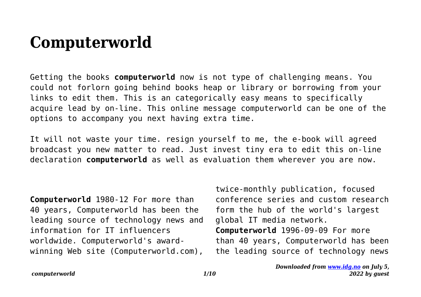## **Computerworld**

Getting the books **computerworld** now is not type of challenging means. You could not forlorn going behind books heap or library or borrowing from your links to edit them. This is an categorically easy means to specifically acquire lead by on-line. This online message computerworld can be one of the options to accompany you next having extra time.

It will not waste your time. resign yourself to me, the e-book will agreed broadcast you new matter to read. Just invest tiny era to edit this on-line declaration **computerworld** as well as evaluation them wherever you are now.

**Computerworld** 1980-12 For more than 40 years, Computerworld has been the leading source of technology news and information for IT influencers worldwide. Computerworld's awardwinning Web site (Computerworld.com),

twice-monthly publication, focused conference series and custom research form the hub of the world's largest global IT media network. **Computerworld** 1996-09-09 For more than 40 years, Computerworld has been the leading source of technology news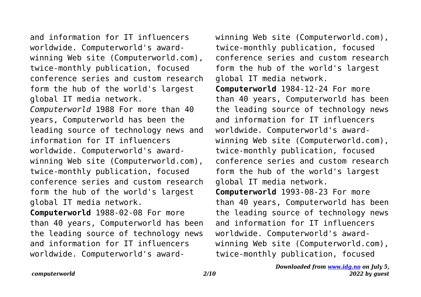and information for IT influencers worldwide. Computerworld's awardwinning Web site (Computerworld.com), twice-monthly publication, focused conference series and custom research form the hub of the world's largest global IT media network.

*Computerworld* 1988 For more than 40 years, Computerworld has been the leading source of technology news and information for IT influencers worldwide. Computerworld's awardwinning Web site (Computerworld.com), twice-monthly publication, focused conference series and custom research form the hub of the world's largest global IT media network.

**Computerworld** 1988-02-08 For more than 40 years, Computerworld has been the leading source of technology news and information for IT influencers worldwide. Computerworld's awardwinning Web site (Computerworld.com), twice-monthly publication, focused conference series and custom research form the hub of the world's largest global IT media network. **Computerworld** 1984-12-24 For more than 40 years, Computerworld has been the leading source of technology news and information for IT influencers worldwide. Computerworld's awardwinning Web site (Computerworld.com), twice-monthly publication, focused conference series and custom research form the hub of the world's largest global IT media network. **Computerworld** 1993-08-23 For more than 40 years, Computerworld has been the leading source of technology news and information for IT influencers worldwide. Computerworld's awardwinning Web site (Computerworld.com), twice-monthly publication, focused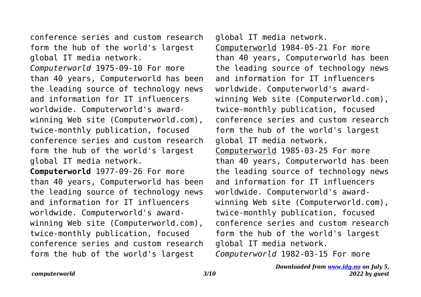conference series and custom research form the hub of the world's largest global IT media network.

*Computerworld* 1975-09-10 For more than 40 years, Computerworld has been the leading source of technology news and information for IT influencers worldwide. Computerworld's awardwinning Web site (Computerworld.com), twice-monthly publication, focused conference series and custom research form the hub of the world's largest global IT media network.

**Computerworld** 1977-09-26 For more than 40 years, Computerworld has been the leading source of technology news and information for IT influencers worldwide. Computerworld's awardwinning Web site (Computerworld.com), twice-monthly publication, focused conference series and custom research form the hub of the world's largest

global IT media network. Computerworld 1984-05-21 For more than 40 years, Computerworld has been the leading source of technology news and information for IT influencers worldwide. Computerworld's awardwinning Web site (Computerworld.com), twice-monthly publication, focused conference series and custom research form the hub of the world's largest global IT media network. Computerworld 1985-03-25 For more than 40 years, Computerworld has been the leading source of technology news and information for IT influencers worldwide. Computerworld's awardwinning Web site (Computerworld.com), twice-monthly publication, focused conference series and custom research form the hub of the world's largest global IT media network. *Computerworld* 1982-03-15 For more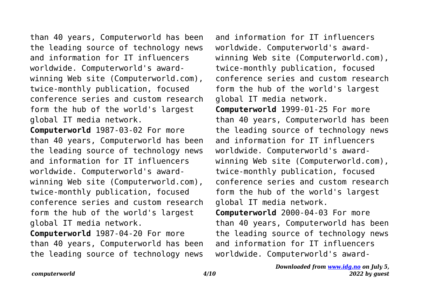than 40 years, Computerworld has been the leading source of technology news and information for IT influencers worldwide. Computerworld's awardwinning Web site (Computerworld.com), twice-monthly publication, focused conference series and custom research form the hub of the world's largest global IT media network. **Computerworld** 1987-03-02 For more than 40 years, Computerworld has been the leading source of technology news and information for IT influencers worldwide. Computerworld's awardwinning Web site (Computerworld.com), twice-monthly publication, focused

conference series and custom research form the hub of the world's largest global IT media network.

**Computerworld** 1987-04-20 For more than 40 years, Computerworld has been the leading source of technology news

and information for IT influencers worldwide. Computerworld's awardwinning Web site (Computerworld.com), twice-monthly publication, focused conference series and custom research form the hub of the world's largest global IT media network.

**Computerworld** 1999-01-25 For more than 40 years, Computerworld has been the leading source of technology news and information for IT influencers worldwide. Computerworld's awardwinning Web site (Computerworld.com), twice-monthly publication, focused conference series and custom research form the hub of the world's largest global IT media network. **Computerworld** 2000-04-03 For more than 40 years, Computerworld has been

the leading source of technology news and information for IT influencers worldwide. Computerworld's award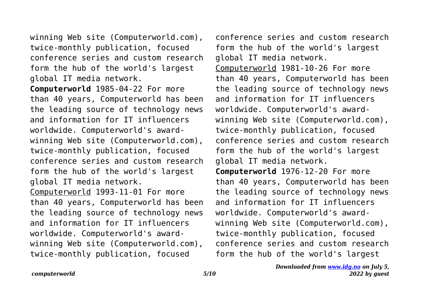winning Web site (Computerworld.com), twice-monthly publication, focused conference series and custom research form the hub of the world's largest global IT media network.

**Computerworld** 1985-04-22 For more than 40 years, Computerworld has been the leading source of technology news and information for IT influencers worldwide. Computerworld's awardwinning Web site (Computerworld.com), twice-monthly publication, focused conference series and custom research form the hub of the world's largest global IT media network. Computerworld 1993-11-01 For more than 40 years, Computerworld has been the leading source of technology news and information for IT influencers worldwide. Computerworld's awardwinning Web site (Computerworld.com), twice-monthly publication, focused

conference series and custom research form the hub of the world's largest global IT media network. Computerworld 1981-10-26 For more than 40 years, Computerworld has been the leading source of technology news and information for IT influencers worldwide. Computerworld's awardwinning Web site (Computerworld.com), twice-monthly publication, focused conference series and custom research form the hub of the world's largest global IT media network. **Computerworld** 1976-12-20 For more than 40 years, Computerworld has been the leading source of technology news and information for IT influencers worldwide. Computerworld's awardwinning Web site (Computerworld.com), twice-monthly publication, focused conference series and custom research form the hub of the world's largest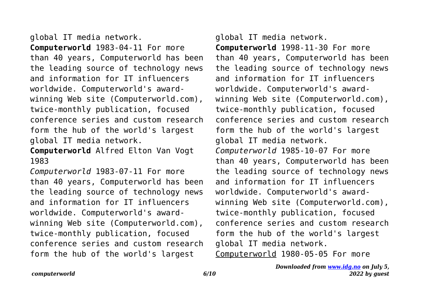global IT media network. **Computerworld** 1983-04-11 For more than 40 years, Computerworld has been the leading source of technology news and information for IT influencers worldwide. Computerworld's awardwinning Web site (Computerworld.com), twice-monthly publication, focused conference series and custom research form the hub of the world's largest global IT media network.

**Computerworld** Alfred Elton Van Vogt 1983

*Computerworld* 1983-07-11 For more than 40 years, Computerworld has been the leading source of technology news and information for IT influencers worldwide. Computerworld's awardwinning Web site (Computerworld.com), twice-monthly publication, focused conference series and custom research form the hub of the world's largest

global IT media network. **Computerworld** 1998-11-30 For more than 40 years, Computerworld has been the leading source of technology news and information for IT influencers worldwide. Computerworld's awardwinning Web site (Computerworld.com), twice-monthly publication, focused conference series and custom research form the hub of the world's largest global IT media network. *Computerworld* 1985-10-07 For more than 40 years, Computerworld has been the leading source of technology news and information for IT influencers worldwide. Computerworld's awardwinning Web site (Computerworld.com), twice-monthly publication, focused conference series and custom research form the hub of the world's largest global IT media network. Computerworld 1980-05-05 For more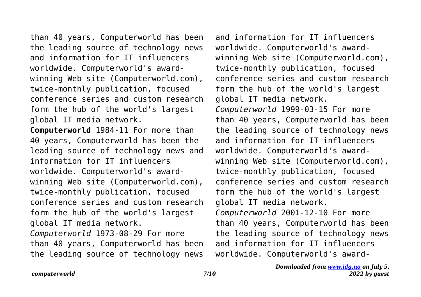than 40 years, Computerworld has been the leading source of technology news and information for IT influencers worldwide. Computerworld's awardwinning Web site (Computerworld.com), twice-monthly publication, focused conference series and custom research form the hub of the world's largest global IT media network.

**Computerworld** 1984-11 For more than 40 years, Computerworld has been the leading source of technology news and information for IT influencers worldwide. Computerworld's awardwinning Web site (Computerworld.com), twice-monthly publication, focused conference series and custom research form the hub of the world's largest global IT media network. *Computerworld* 1973-08-29 For more

than 40 years, Computerworld has been the leading source of technology news

and information for IT influencers worldwide. Computerworld's awardwinning Web site (Computerworld.com), twice-monthly publication, focused conference series and custom research form the hub of the world's largest global IT media network. *Computerworld* 1999-03-15 For more than 40 years, Computerworld has been the leading source of technology news and information for IT influencers worldwide. Computerworld's awardwinning Web site (Computerworld.com), twice-monthly publication, focused conference series and custom research form the hub of the world's largest global IT media network. *Computerworld* 2001-12-10 For more than 40 years, Computerworld has been the leading source of technology news and information for IT influencers worldwide. Computerworld's award-

## *Downloaded from [www.idg.no](http://www.idg.no) on July 5, 2022 by guest*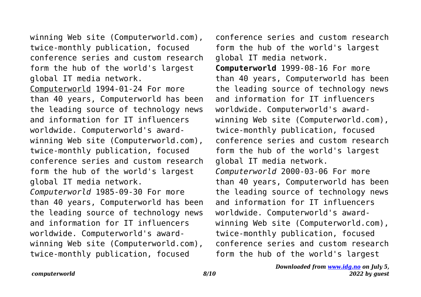winning Web site (Computerworld.com), twice-monthly publication, focused conference series and custom research form the hub of the world's largest global IT media network.

Computerworld 1994-01-24 For more than 40 years, Computerworld has been the leading source of technology news and information for IT influencers worldwide. Computerworld's awardwinning Web site (Computerworld.com), twice-monthly publication, focused conference series and custom research form the hub of the world's largest global IT media network. *Computerworld* 1985-09-30 For more than 40 years, Computerworld has been the leading source of technology news and information for IT influencers worldwide. Computerworld's awardwinning Web site (Computerworld.com), twice-monthly publication, focused

conference series and custom research form the hub of the world's largest global IT media network.

**Computerworld** 1999-08-16 For more than 40 years, Computerworld has been the leading source of technology news and information for IT influencers worldwide. Computerworld's awardwinning Web site (Computerworld.com), twice-monthly publication, focused conference series and custom research form the hub of the world's largest global IT media network. *Computerworld* 2000-03-06 For more than 40 years, Computerworld has been the leading source of technology news and information for IT influencers worldwide. Computerworld's awardwinning Web site (Computerworld.com), twice-monthly publication, focused conference series and custom research form the hub of the world's largest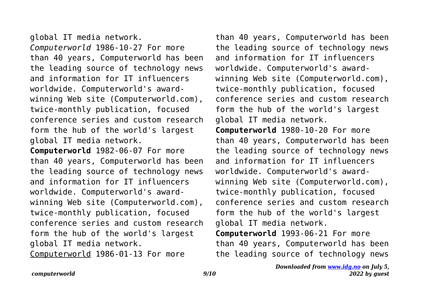global IT media network. *Computerworld* 1986-10-27 For more than 40 years, Computerworld has been the leading source of technology news and information for IT influencers worldwide. Computerworld's awardwinning Web site (Computerworld.com), twice-monthly publication, focused conference series and custom research form the hub of the world's largest global IT media network.

**Computerworld** 1982-06-07 For more than 40 years, Computerworld has been the leading source of technology news and information for IT influencers worldwide. Computerworld's awardwinning Web site (Computerworld.com), twice-monthly publication, focused conference series and custom research form the hub of the world's largest global IT media network. Computerworld 1986-01-13 For more

than 40 years, Computerworld has been the leading source of technology news and information for IT influencers worldwide. Computerworld's awardwinning Web site (Computerworld.com), twice-monthly publication, focused conference series and custom research form the hub of the world's largest global IT media network. **Computerworld** 1980-10-20 For more than 40 years, Computerworld has been the leading source of technology news and information for IT influencers worldwide. Computerworld's awardwinning Web site (Computerworld.com), twice-monthly publication, focused conference series and custom research form the hub of the world's largest global IT media network.

**Computerworld** 1993-06-21 For more than 40 years, Computerworld has been the leading source of technology news